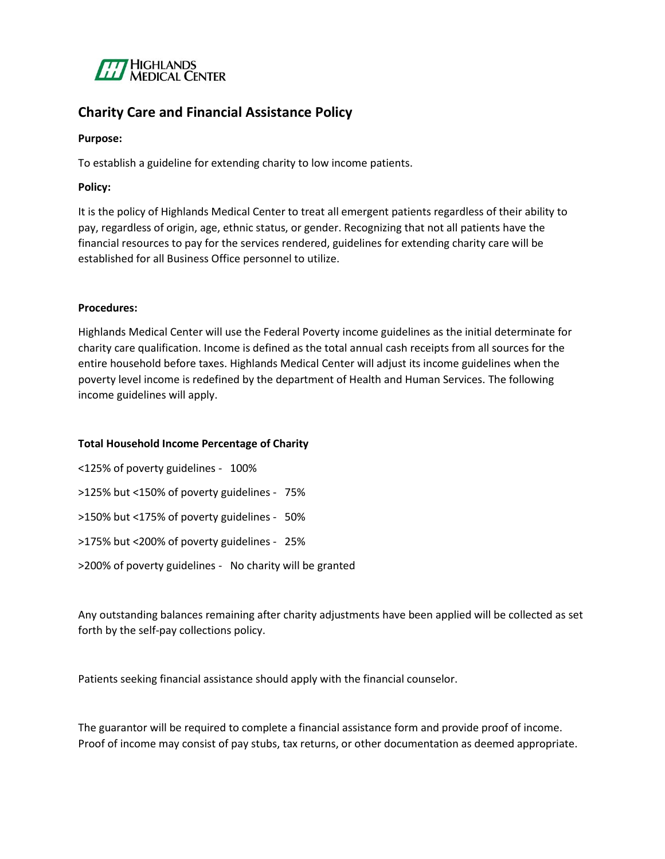

## **Charity Care and Financial Assistance Policy**

#### **Purpose:**

To establish a guideline for extending charity to low income patients.

### **Policy:**

It is the policy of Highlands Medical Center to treat all emergent patients regardless of their ability to pay, regardless of origin, age, ethnic status, or gender. Recognizing that not all patients have the financial resources to pay for the services rendered, guidelines for extending charity care will be established for all Business Office personnel to utilize.

### **Procedures:**

Highlands Medical Center will use the Federal Poverty income guidelines as the initial determinate for charity care qualification. Income is defined as the total annual cash receipts from all sources for the entire household before taxes. Highlands Medical Center will adjust its income guidelines when the poverty level income is redefined by the department of Health and Human Services. The following income guidelines will apply.

#### **Total Household Income Percentage of Charity**

<125% of poverty guidelines - 100% >125% but <150% of poverty guidelines - 75% >150% but <175% of poverty guidelines - 50% >175% but <200% of poverty guidelines - 25% >200% of poverty guidelines - No charity will be granted

Any outstanding balances remaining after charity adjustments have been applied will be collected as set forth by the self-pay collections policy.

Patients seeking financial assistance should apply with the financial counselor.

The guarantor will be required to complete a financial assistance form and provide proof of income. Proof of income may consist of pay stubs, tax returns, or other documentation as deemed appropriate.